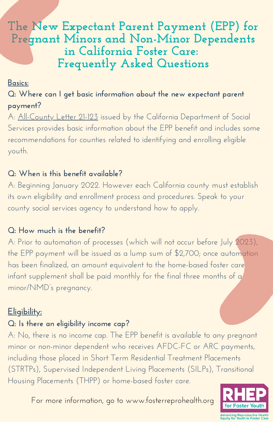# **The New Expectant Parent Payment (EPP) for Pregnant Minors and Non-Minor Dependents in California Foster Care: Frequently Asked Questions**

#### **Basics:**

**Q: Where can I get basic information about the new expectant parent payment?**

A: [All-County](https://www.cdss.ca.gov/Portals/9/Additional-Resources/Letters-and-Notices/ACLs/2021/21-123.pdf?ver=2021-10-08-140950-570) Letter 21-123 issued by the California Department of Social Services provides basic information about the EPP benefit and includes some recommendations for counties related to identifying and enrolling eligible youth.

#### **Q: When is this benefit available?**

A: Beginning January 2022. However each California county must establish its own eligibility and enrollment process and procedures. Speak to your county social services agency to understand how to apply.

#### **Q: How much is the benefit?**

A: Prior to automation of processes (which will not occur before July 2023), the EPP payment will be issued as a lump sum of \$2,700; once automation has been finalized, an amount equivalent to the home-based foster care infant supplement shall be paid monthly for the final three months of a minor/NMD's pregnancy.

#### **Eligibility:**

#### **Q: Is there an eligibility income cap?**

A: No, there is no income cap. The EPP benefit is available to any pregnant minor or non-minor dependent who receives AFDC-FC or ARC payments, including those placed in Short Term Residential Treatment Placements (STRTPs), Supervised Independent Living Placements (SILPs), Transitional Housing Placements (THPP) or home-based foster care.

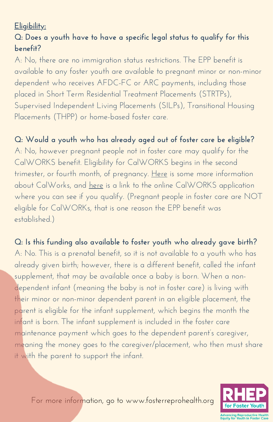# **Eligibility:**

# **Q: Does a youth have to have a specific legal status to qualify for this benefit?**

A: No, there are no immigration status restrictions. The EPP benefit is available to any foster youth are available to pregnant minor or non-minor dependent who receives AFDC-FC or ARC payments, including those placed in Short Term Residential Treatment Placements (STRTPs), Supervised Independent Living Placements (SILPs), Transitional Housing Placements (THPP) or home-based foster care.

# **Q: Would a youth who has already aged out of foster care be eligible?**

A: No, however pregnant people not in foster care may qualify for the CalWORKS benefit. Eligibility for CalWORKS begins in the second trimester, or fourth month, of pregnancy. [Here](https://www.benefits.gov/benefit/1229) is some more information about CalWorks, and [here](https://benefitscal.com/) is a link to the online CalWORKS application where you can see if you qualify. (Pregnant people in foster care are NOT eligible for CalWORKs, that is one reason the EPP benefit was established.)

# **Q: Is this funding also available to foster youth who already gave birth?** A: No. This is a prenatal benefit, so it is not available to a youth who has already given birth; however, there is a different benefit, called the infant supplement, that may be available once a baby is born. When a nondependent infant (meaning the baby is not in foster care) is living with their minor or non-minor dependent parent in an eligible placement, the parent is eligible for the infant supplement, which begins the month the infant is born. The infant supplement is included in the foster care maintenance payment which goes to the dependent parent's caregiver, meaning the money goes to the caregiver/placement, who then must share it with the parent to support the infant.

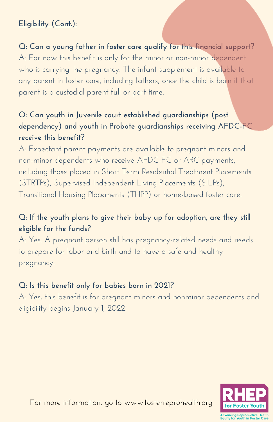# **Eligibility (Cont.):**

**Q: Can a young father in foster care qualify for this financial support?** A: For now this benefit is only for the minor or non-minor dependent who is carrying the pregnancy. The infant supplement is available to any parent in foster care, including fathers, once the child is born if that parent is a custodial parent full or part-time.

# **Q: Can youth in Juvenile court established guardianships (post dependency) and youth in Probate guardianships receiving AFDC-FC receive this benefit?**

A: Expectant parent payments are available to pregnant minors and non-minor dependents who receive AFDC-FC or ARC payments, including those placed in Short Term Residential Treatment Placements (STRTPs), Supervised Independent Living Placements (SILPs), Transitional Housing Placements (THPP) or home-based foster care.

# **Q: If the youth plans to give their baby up for adoption, are they still eligible for the funds?**

A: Yes. A pregnant person still has pregnancy-related needs and needs to prepare for labor and birth and to have a safe and healthy pregnancy.

### **Q: Is this benefit only for babies born in 2021?**

A: Yes, this benefit is for pregnant minors and nonminor dependents and eligibility begins January 1, 2022.

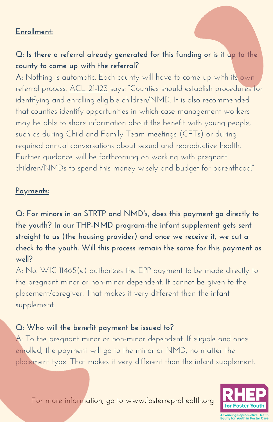#### **Enrollment:**

### **Q: Is there a referral already generated for this funding or is it up to the county to come up with the referral?**

**A:** Nothing is automatic. Each county will have to come up with its own referral process. ACL [21-123](https://www.cdss.ca.gov/Portals/9/Additional-Resources/Letters-and-Notices/ACLs/2021/21-123.pdf?ver=2021-10-08-140950-570) says: "Counties should establish procedures for identifying and enrolling eligible children/NMD. It is also recommended that counties identify opportunities in which case management workers may be able to share information about the benefit with young people, such as during Child and Family Team meetings (CFTs) or during required annual conversations about sexual and reproductive health. Further guidance will be forthcoming on working with pregnant children/NMDs to spend this money wisely and budget for parenthood."

#### **Payments:**

**Q: For minors in an STRTP and NMD's, does this payment go directly to the youth? In our THP-NMD program-the infant supplement gets sent straight to us (the housing provider) and once we receive it, we cut a check to the youth. Will this process remain the same for this payment as well?**

A: No. WIC 11465(e) authorizes the EPP payment to be made directly to the pregnant minor or non-minor dependent. It cannot be given to the placement/caregiver. That makes it very different than the infant supplement.

#### **Q: Who will the benefit payment be issued to?**

A: To the pregnant minor or non-minor dependent. If eligible and once enrolled, the payment will go to the minor or NMD, no matter the placement type. That makes it very different than the infant supplement.



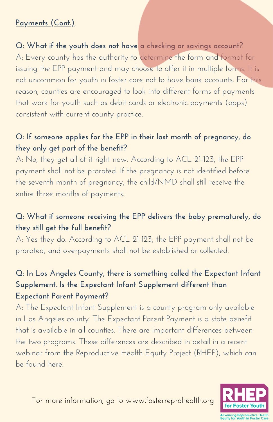### **Payments (Cont.)**

**Q: What if the youth does not have a checking or savings account?** A: Every county has the authority to determine the form and format for issuing the EPP payment and may choose to offer it in multiple forms. It is not uncommon for youth in foster care not to have bank accounts. For this reason, counties are encouraged to look into different forms of payments that work for youth such as debit cards or electronic payments (apps) consistent with current county practice.

### **Q: If someone applies for the EPP in their last month of pregnancy, do they only get part of the benefit?**

A: No, they get all of it right now. According to ACL 21-123, the EPP payment shall not be prorated. If the pregnancy is not identified before the seventh month of pregnancy, the child/NMD shall still receive the entire three months of payments.

# **Q: What if someone receiving the EPP delivers the baby prematurely, do they still get the full benefit?**

A: Yes they do. According to ACL 21-123, the EPP payment shall not be prorated, and overpayments shall not be established or collected.

# **Q: In Los Angeles County, there is something called the Expectant Infant Supplement. Is the Expectant Infant Supplement different than Expectant Parent Payment?**

A: The Expectant Infant Supplement is a county program only available in Los Angeles county. The Expectant Parent Payment is a state benefit that is available in all counties. There are important differences between the two programs. These differences are described in detail in a recent webinar from the Reproductive Health Equity Project (RHEP), which can be found [here](http://fosterreprohealth.org/wp-content/uploads/2021/12/Invest-in-the-Nest-Webinar.mp4).